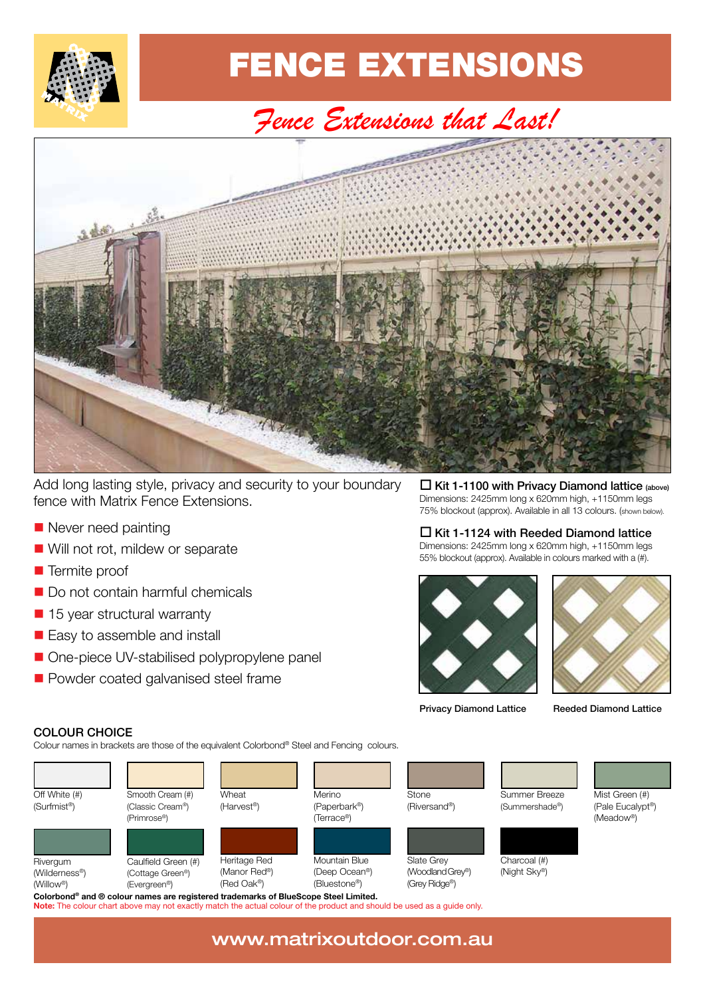

### FENCE EXTENSIONS FENCE EXTENSIONS

### *Fence Extensions that Last! Fence Extensions that Last!*



Add long lasting style, privacy and security to your boundary Add long lasting style, privacy and security to your boundary<br>fence with Matrix Fence Extensions. fence with Matrix Fence Extensions.

- Never need painting  $\frac{1}{2}$   $\frac{1}{2}$   $\frac{1}{2}$   $\frac{1}{2}$   $\frac{1}{2}$   $\frac{1}{2}$   $\frac{1}{2}$   $\frac{1}{2}$   $\frac{1}{2}$   $\frac{1}{2}$   $\frac{1}{2}$   $\frac{1}{2}$   $\frac{1}{2}$   $\frac{1}{2}$   $\frac{1}{2}$   $\frac{1}{2}$   $\frac{1}{2}$   $\frac{1}{2}$   $\frac{1}{2}$   $\frac{1}{2}$   $\frac{1}{2}$   $\frac{1}{2$
- Will not rot, mildew or separate  $\frac{1}{2}$  will not rot, mildew or separate
- **Termite proof**  $T$  Termite proof
- Do not contain harmful chemicals Do not contain harmful chemicals
- 15 year structural warranty  $\frac{1}{2}$  15 year structural warranty
- Easy to assemble and install  $E$  asy to assemble and install
- One-piece UV-stabilised polypropylene panel
- Powder coated galvanised steel frame One-piece UV-stabilised polypropylene panel Powder coated galvanised steel frame

 $\Box$  Kit 1-1100 with Privacy Diamond lattice (above) E The TITCO With Privacy Diamond lattice (above)<br>Dimensions: 2425mm long x 620mm high, +1150mm legs 75% blockout (approx). Available in all 13 colours. (shown below).

#### $\square$  Kit 1-1124 with Reeded Diamond lattice

Dimensions:  $2425$ mm long x 620mm high,  $+1150$ mm legs 55% blockout (approx). Available in colours marked with a (#).





Privacy Diamond lattice Reeded Diamond lattice Privacy Diamond Lattice Reeded Diamond Lattice

#### COLOUR CHOICE

Colour names in brackets are those of the equivalent Colorbond® Steel and Fencing colours.



www.matrixoutdoor.com.au